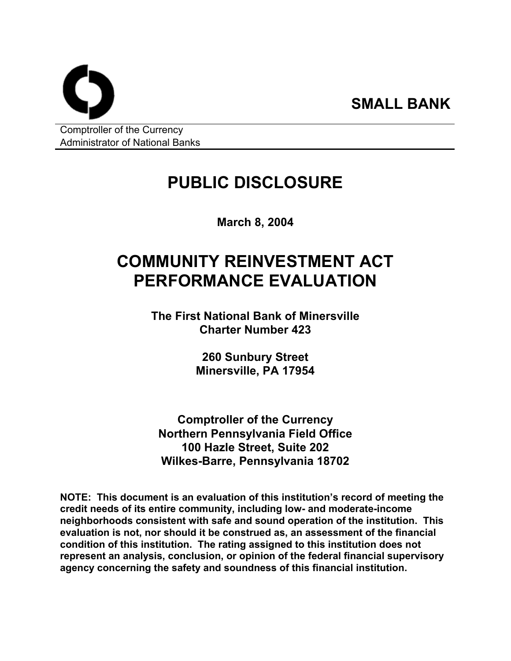Comptroller of the Currency Administrator of National Banks

# **PUBLIC DISCLOSURE**

**SMALL BANK** 

**March 8, 2004** 

# **COMMUNITY REINVESTMENT ACT PERFORMANCE EVALUATION**

**The First National Bank of Minersville Charter Number 423** 

> **260 Sunbury Street Minersville, PA 17954**

**Comptroller of the Currency Northern Pennsylvania Field Office 100 Hazle Street, Suite 202 Wilkes-Barre, Pennsylvania 18702** 

**NOTE: This document is an evaluation of this institution's record of meeting the credit needs of its entire community, including low- and moderate-income neighborhoods consistent with safe and sound operation of the institution. This evaluation is not, nor should it be construed as, an assessment of the financial condition of this institution. The rating assigned to this institution does not represent an analysis, conclusion, or opinion of the federal financial supervisory agency concerning the safety and soundness of this financial institution.**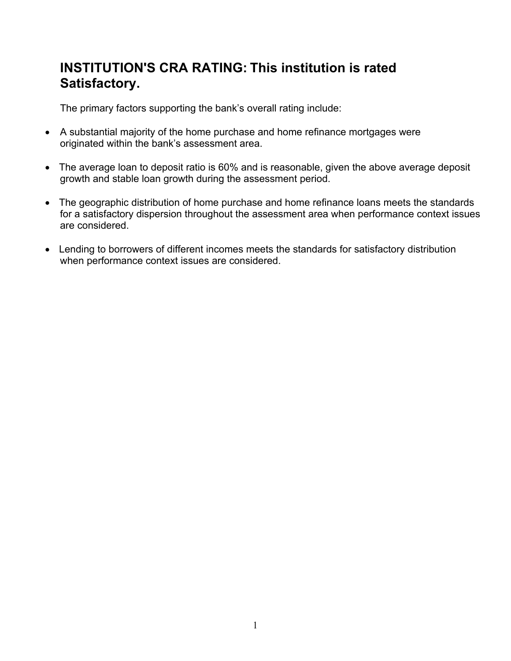# **INSTITUTION'S CRA RATING: This institution is rated Satisfactory.**

The primary factors supporting the bank's overall rating include:

- A substantial majority of the home purchase and home refinance mortgages were originated within the bank's assessment area.
- The average loan to deposit ratio is 60% and is reasonable, given the above average deposit growth and stable loan growth during the assessment period.
- The geographic distribution of home purchase and home refinance loans meets the standards for a satisfactory dispersion throughout the assessment area when performance context issues are considered.
- Lending to borrowers of different incomes meets the standards for satisfactory distribution when performance context issues are considered.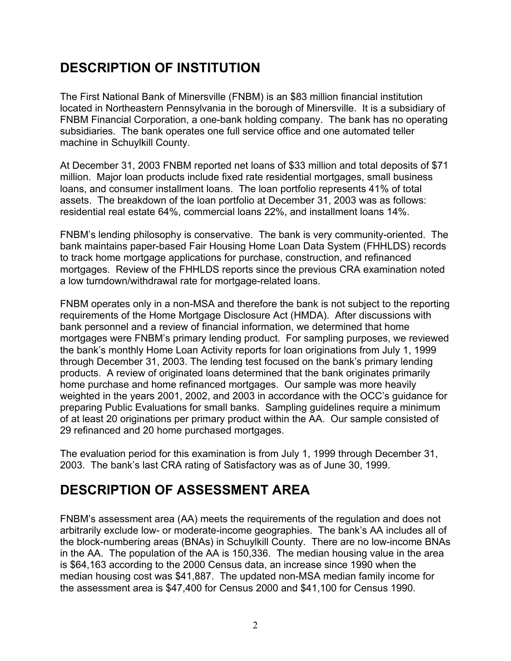# **DESCRIPTION OF INSTITUTION**

The First National Bank of Minersville (FNBM) is an \$83 million financial institution located in Northeastern Pennsylvania in the borough of Minersville. It is a subsidiary of FNBM Financial Corporation, a one-bank holding company. The bank has no operating subsidiaries. The bank operates one full service office and one automated teller machine in Schuylkill County.

At December 31, 2003 FNBM reported net loans of \$33 million and total deposits of \$71 million. Major loan products include fixed rate residential mortgages, small business loans, and consumer installment loans. The loan portfolio represents 41% of total assets. The breakdown of the loan portfolio at December 31, 2003 was as follows: residential real estate 64%, commercial loans 22%, and installment loans 14%.

FNBM's lending philosophy is conservative. The bank is very community-oriented. The bank maintains paper-based Fair Housing Home Loan Data System (FHHLDS) records to track home mortgage applications for purchase, construction, and refinanced mortgages. Review of the FHHLDS reports since the previous CRA examination noted a low turndown/withdrawal rate for mortgage-related loans.

FNBM operates only in a non-MSA and therefore the bank is not subject to the reporting requirements of the Home Mortgage Disclosure Act (HMDA). After discussions with bank personnel and a review of financial information, we determined that home mortgages were FNBM's primary lending product. For sampling purposes, we reviewed the bank's monthly Home Loan Activity reports for loan originations from July 1, 1999 through December 31, 2003. The lending test focused on the bank's primary lending products. A review of originated loans determined that the bank originates primarily home purchase and home refinanced mortgages. Our sample was more heavily weighted in the years 2001, 2002, and 2003 in accordance with the OCC's guidance for preparing Public Evaluations for small banks. Sampling guidelines require a minimum of at least 20 originations per primary product within the AA. Our sample consisted of 29 refinanced and 20 home purchased mortgages.

The evaluation period for this examination is from July 1, 1999 through December 31, 2003. The bank's last CRA rating of Satisfactory was as of June 30, 1999.

# **DESCRIPTION OF ASSESSMENT AREA**

FNBM's assessment area (AA) meets the requirements of the regulation and does not arbitrarily exclude low- or moderate-income geographies. The bank's AA includes all of the block-numbering areas (BNAs) in Schuylkill County. There are no low-income BNAs in the AA. The population of the AA is 150,336. The median housing value in the area is \$64,163 according to the 2000 Census data, an increase since 1990 when the median housing cost was \$41,887. The updated non-MSA median family income for the assessment area is \$47,400 for Census 2000 and \$41,100 for Census 1990.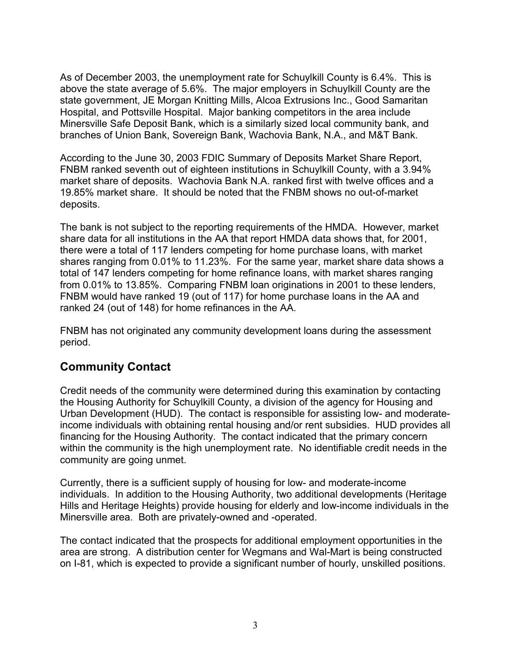As of December 2003, the unemployment rate for Schuylkill County is 6.4%. This is above the state average of 5.6%. The major employers in Schuylkill County are the state government, JE Morgan Knitting Mills, Alcoa Extrusions Inc., Good Samaritan Hospital, and Pottsville Hospital. Major banking competitors in the area include Minersville Safe Deposit Bank, which is a similarly sized local community bank, and branches of Union Bank, Sovereign Bank, Wachovia Bank, N.A., and M&T Bank.

According to the June 30, 2003 FDIC Summary of Deposits Market Share Report, FNBM ranked seventh out of eighteen institutions in Schuylkill County, with a 3.94% market share of deposits. Wachovia Bank N.A. ranked first with twelve offices and a 19.85% market share. It should be noted that the FNBM shows no out-of-market deposits.

The bank is not subject to the reporting requirements of the HMDA. However, market share data for all institutions in the AA that report HMDA data shows that, for 2001, there were a total of 117 lenders competing for home purchase loans, with market shares ranging from 0.01% to 11.23%. For the same year, market share data shows a total of 147 lenders competing for home refinance loans, with market shares ranging from 0.01% to 13.85%. Comparing FNBM loan originations in 2001 to these lenders, FNBM would have ranked 19 (out of 117) for home purchase loans in the AA and ranked 24 (out of 148) for home refinances in the AA.

FNBM has not originated any community development loans during the assessment period.

### **Community Contact**

Credit needs of the community were determined during this examination by contacting the Housing Authority for Schuylkill County, a division of the agency for Housing and Urban Development (HUD). The contact is responsible for assisting low- and moderateincome individuals with obtaining rental housing and/or rent subsidies. HUD provides all financing for the Housing Authority. The contact indicated that the primary concern within the community is the high unemployment rate. No identifiable credit needs in the community are going unmet.

Currently, there is a sufficient supply of housing for low- and moderate-income individuals. In addition to the Housing Authority, two additional developments (Heritage Hills and Heritage Heights) provide housing for elderly and low-income individuals in the Minersville area. Both are privately-owned and -operated.

The contact indicated that the prospects for additional employment opportunities in the area are strong. A distribution center for Wegmans and Wal-Mart is being constructed on I-81, which is expected to provide a significant number of hourly, unskilled positions.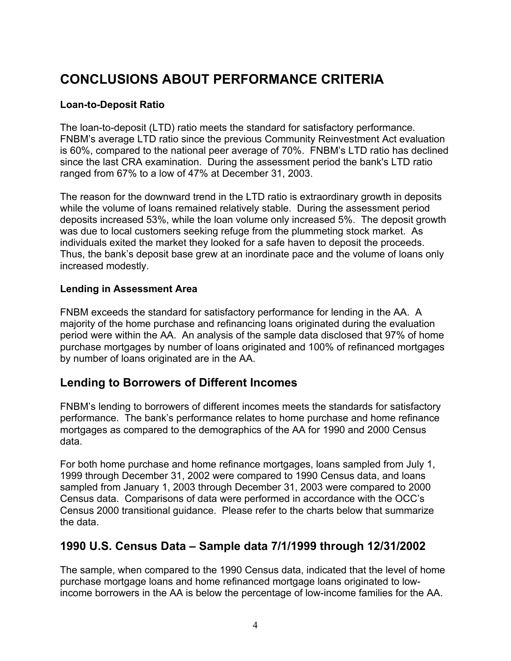# **CONCLUSIONS ABOUT PERFORMANCE CRITERIA**

#### **Loan-to-Deposit Ratio**

The loan-to-deposit (LTD) ratio meets the standard for satisfactory performance. FNBM's average LTD ratio since the previous Community Reinvestment Act evaluation is 60%, compared to the national peer average of 70%. FNBM's LTD ratio has declined since the last CRA examination. During the assessment period the bank's LTD ratio ranged from 67% to a low of 47% at December 31, 2003.

The reason for the downward trend in the LTD ratio is extraordinary growth in deposits while the volume of loans remained relatively stable. During the assessment period deposits increased 53%, while the loan volume only increased 5%. The deposit growth was due to local customers seeking refuge from the plummeting stock market. As individuals exited the market they looked for a safe haven to deposit the proceeds. Thus, the bank's deposit base grew at an inordinate pace and the volume of loans only increased modestly.

#### **Lending in Assessment Area**

FNBM exceeds the standard for satisfactory performance for lending in the AA. A majority of the home purchase and refinancing loans originated during the evaluation period were within the AA. An analysis of the sample data disclosed that 97% of home purchase mortgages by number of loans originated and 100% of refinanced mortgages by number of loans originated are in the AA.

### **Lending to Borrowers of Different Incomes**

FNBM's lending to borrowers of different incomes meets the standards for satisfactory performance. The bank's performance relates to home purchase and home refinance mortgages as compared to the demographics of the AA for 1990 and 2000 Census data.

For both home purchase and home refinance mortgages, loans sampled from July 1, 1999 through December 31, 2002 were compared to 1990 Census data, and loans sampled from January 1, 2003 through December 31, 2003 were compared to 2000 Census data. Comparisons of data were performed in accordance with the OCC's Census 2000 transitional guidance. Please refer to the charts below that summarize the data.

### **1990 U.S. Census Data – Sample data 7/1/1999 through 12/31/2002**

The sample, when compared to the 1990 Census data, indicated that the level of home purchase mortgage loans and home refinanced mortgage loans originated to lowincome borrowers in the AA is below the percentage of low-income families for the AA.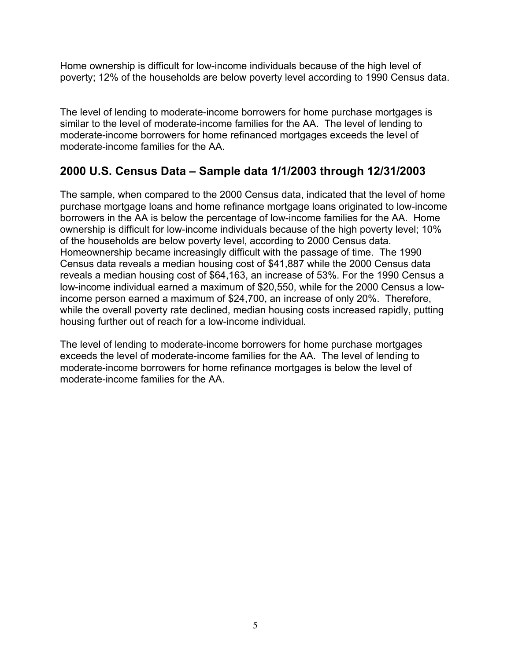Home ownership is difficult for low-income individuals because of the high level of poverty; 12% of the households are below poverty level according to 1990 Census data.

The level of lending to moderate-income borrowers for home purchase mortgages is similar to the level of moderate-income families for the AA. The level of lending to moderate-income borrowers for home refinanced mortgages exceeds the level of moderate-income families for the AA.

### **2000 U.S. Census Data – Sample data 1/1/2003 through 12/31/2003**

The sample, when compared to the 2000 Census data, indicated that the level of home purchase mortgage loans and home refinance mortgage loans originated to low-income borrowers in the AA is below the percentage of low-income families for the AA. Home ownership is difficult for low-income individuals because of the high poverty level; 10% of the households are below poverty level, according to 2000 Census data. Homeownership became increasingly difficult with the passage of time. The 1990 Census data reveals a median housing cost of \$41,887 while the 2000 Census data reveals a median housing cost of \$64,163, an increase of 53%. For the 1990 Census a low-income individual earned a maximum of \$20,550, while for the 2000 Census a lowincome person earned a maximum of \$24,700, an increase of only 20%. Therefore, while the overall poverty rate declined, median housing costs increased rapidly, putting housing further out of reach for a low-income individual.

The level of lending to moderate-income borrowers for home purchase mortgages exceeds the level of moderate-income families for the AA. The level of lending to moderate-income borrowers for home refinance mortgages is below the level of moderate-income families for the AA.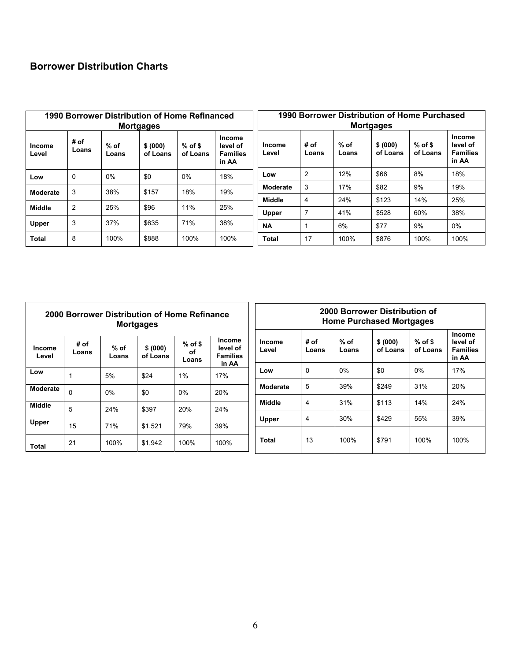#### **Borrower Distribution Charts**

| 1990 Borrower Distribution of Home Refinanced<br><b>Mortgages</b> |               |                 |                      | 1990 Borrower Distribution of Home Purchased<br><b>Mortgages</b> |                                                       |                        |                |                 |                      |                       |                                                       |
|-------------------------------------------------------------------|---------------|-----------------|----------------------|------------------------------------------------------------------|-------------------------------------------------------|------------------------|----------------|-----------------|----------------------|-----------------------|-------------------------------------------------------|
| <b>Income</b><br>Level                                            | # of<br>Loans | $%$ of<br>Loans | \$ (000)<br>of Loans | $%$ of \$<br>of Loans                                            | <b>Income</b><br>level of<br><b>Families</b><br>in AA | <b>Income</b><br>Level | # of<br>Loans  | $%$ of<br>Loans | \$ (000)<br>of Loans | $%$ of \$<br>of Loans | <b>Income</b><br>level of<br><b>Families</b><br>in AA |
| Low                                                               | 0             | 0%              | \$0                  | $0\%$                                                            | 18%                                                   | Low                    | 2              | 12%             | \$66                 | 8%                    | 18%                                                   |
| Moderate                                                          | 3             | 38%             | \$157                | 18%                                                              | 19%                                                   | Moderate               | 3              | 17%             | \$82                 | 9%                    | 19%                                                   |
|                                                                   |               |                 |                      |                                                                  |                                                       | <b>Middle</b>          | $\overline{4}$ | 24%             | \$123                | 14%                   | 25%                                                   |
| Middle                                                            | 2             | 25%             | \$96                 | 11%                                                              | 25%                                                   | Upper                  | ⇁              | 41%             | \$528                | 60%                   | 38%                                                   |
| <b>Upper</b>                                                      | 3             | 37%             | \$635                | 71%                                                              | 38%                                                   | <b>NA</b>              |                | 6%              | \$77                 | 9%                    | $0\%$                                                 |
| <b>Total</b>                                                      | 8             | 100%            | \$888                | 100%                                                             | 100%                                                  | <b>Total</b>           | 17             | 100%            | \$876                | 100%                  | 100%                                                  |

| 2000 Borrower Distribution of Home Refinance<br><b>Mortgages</b> |               |               |                      |                          |                                                |  |  |
|------------------------------------------------------------------|---------------|---------------|----------------------|--------------------------|------------------------------------------------|--|--|
| Income<br>Level                                                  | # of<br>Loans | % of<br>Loans | \$ (000)<br>of Loans | $%$ of \$<br>οf<br>Loans | Income<br>level of<br><b>Families</b><br>in AA |  |  |
| Low                                                              | 1             | 5%            | \$24                 | 1%                       | 17%                                            |  |  |
| <b>Moderate</b>                                                  | $\Omega$      | $0\%$         | \$0                  | $0\%$                    | 20%                                            |  |  |
| <b>Middle</b>                                                    | 5             | 24%           | \$397                | 20%                      | 24%                                            |  |  |
| Upper                                                            | 15            | 71%           | \$1,521              | 79%                      | 39%                                            |  |  |
| Total                                                            | 21            | 100%          | \$1,942              | 100%                     | 100%                                           |  |  |

| 2000 Borrower Distribution of<br><b>Home Purchased Mortgages</b> |               |                 |                      |                       |                                                       |  |  |
|------------------------------------------------------------------|---------------|-----------------|----------------------|-----------------------|-------------------------------------------------------|--|--|
| <b>Income</b><br>Level                                           | # of<br>Loans | $%$ of<br>Loans | \$ (000)<br>of Loans | $%$ of \$<br>of Loans | <b>Income</b><br>level of<br><b>Families</b><br>in AA |  |  |
| Low                                                              | 0             | $0\%$           | \$0                  | $0\%$                 | 17%                                                   |  |  |
| <b>Moderate</b>                                                  | 5             | 39%             |                      | 31%                   | 20%                                                   |  |  |
| <b>Middle</b>                                                    | 4             | 31%             | \$113                | 14%                   | 24%                                                   |  |  |
| Upper                                                            | 4             | 30%             | \$429                | 55%                   | 39%                                                   |  |  |
| Total                                                            | 13            | 100%            | \$791                | 100%                  | 100%                                                  |  |  |